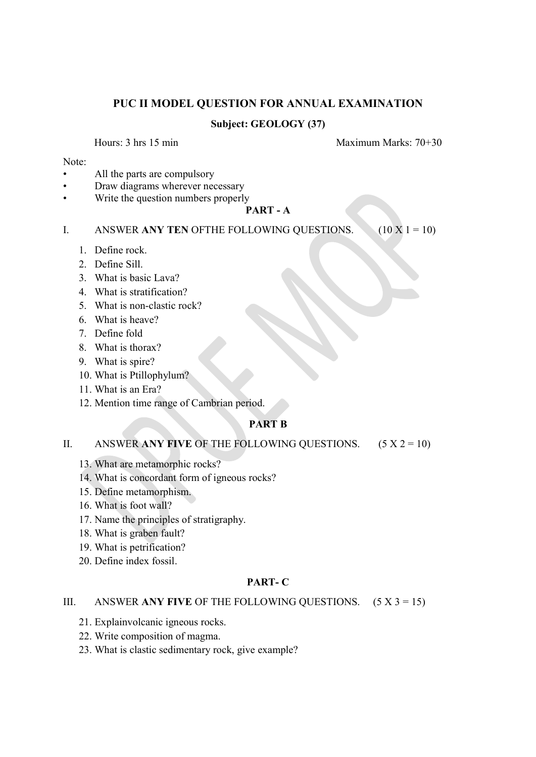# PUC II MODEL QUESTION FOR ANNUAL EXAMINATION

## Subject: GEOLOGY (37)

Hours: 3 hrs 15 min Maximum Marks: 70+30

#### Note:

- All the parts are compulsory
- Draw diagrams wherever necessary
- Write the question numbers properly

#### PART - A

- I. ANSWER ANY TEN OFTHE FOLLOWING QUESTIONS. (10 X 1 = 10)
	- 1. Define rock.
	- 2. Define Sill.
	- 3. What is basic Lava?
	- 4. What is stratification?
	- 5. What is non-clastic rock?
	- 6. What is heave?
	- 7. Define fold
	- 8. What is thorax?
	- 9. What is spire?
	- 10. What is Ptillophylum?
	- 11. What is an Era?
	- 12. Mention time range of Cambrian period.

### PART B

#### II. ANSWER ANY FIVE OF THE FOLLOWING QUESTIONS.  $(5 X 2 = 10)$

- 13. What are metamorphic rocks?
- 14. What is concordant form of igneous rocks?
- 15. Define metamorphism.
- 16. What is foot wall?
- 17. Name the principles of stratigraphy.
- 18. What is graben fault?
- 19. What is petrification?
- 20. Define index fossil.

#### PART- C

#### III. ANSWER ANY FIVE OF THE FOLLOWING QUESTIONS.  $(5 X 3 = 15)$

- 21. Explainvolcanic igneous rocks.
- 22. Write composition of magma.
- 23. What is clastic sedimentary rock, give example?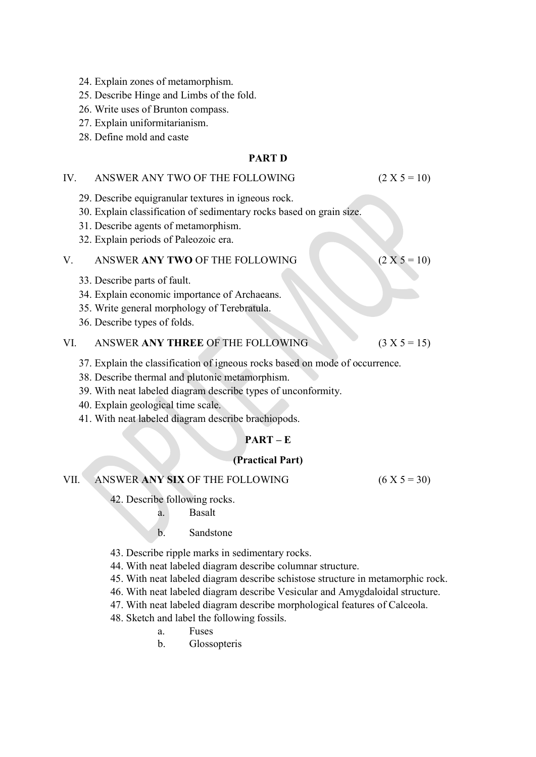- 24. Explain zones of metamorphism.
- 25. Describe Hinge and Limbs of the fold.
- 26. Write uses of Brunton compass.
- 27. Explain uniformitarianism.
- 28. Define mold and caste

### PART D

#### IV. ANSWER ANY TWO OF THE FOLLOWING  $(2 X 5 = 10)$

29. Describe equigranular textures in igneous rock.

- 30. Explain classification of sedimentary rocks based on grain size.
- 31. Describe agents of metamorphism.
- 32. Explain periods of Paleozoic era.

# V. ANSWER ANY TWO OF THE FOLLOWING  $(2 X 5 = 10)$

- 33. Describe parts of fault.
- 34. Explain economic importance of Archaeans.
- 35. Write general morphology of Terebratula.
- 36. Describe types of folds.

# VI. ANSWER ANY THREE OF THE FOLLOWING  $(3 X 5 = 15)$

- 37. Explain the classification of igneous rocks based on mode of occurrence.
- 38. Describe thermal and plutonic metamorphism.
- 39. With neat labeled diagram describe types of unconformity.
- 40. Explain geological time scale.
- 41. With neat labeled diagram describe brachiopods.

## PART – E

### (Practical Part)

# VII. ANSWER ANY SIX OF THE FOLLOWING  $(6 X 5 = 30)$

- 42. Describe following rocks.
	- a. Basalt
	- b. Sandstone
- 43. Describe ripple marks in sedimentary rocks.
- 44. With neat labeled diagram describe columnar structure.
- 45. With neat labeled diagram describe schistose structure in metamorphic rock.
- 46. With neat labeled diagram describe Vesicular and Amygdaloidal structure.
- 47. With neat labeled diagram describe morphological features of Calceola.
- 48. Sketch and label the following fossils.
	- a. Fuses
	- b. Glossopteris